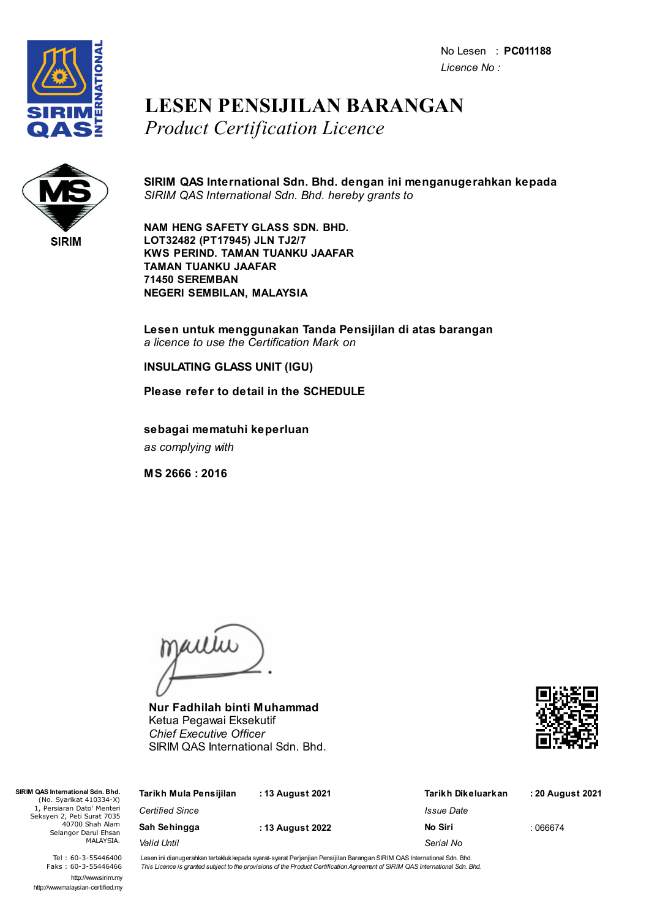No Lesen : **PC011188** *Licence No :*



## **LESEN PENSIJILAN BARANGAN** *Product Certification Licence*



**SIRIM QAS International Sdn. Bhd. dengan ini menganugerahkan kepada** *SIRIM QAS International Sdn. Bhd. hereby grants to*

**NAM HENG SAFETY GLASS SDN. BHD. LOT32482 (PT17945) JLN TJ2/7 KWS PERIND. TAMAN TUANKU JAAFAR TAMAN TUANKU JAAFAR 71450 SEREMBAN NEGERI SEMBILAN, MALAYSIA**

**Lesen untuk menggunakan Tanda Pensijilan di atas barangan** *a licence to use the Certification Mark on*

**INSULATING GLASS UNIT (IGU)**

**Please refer to detail in the SCHEDULE**

**sebagai mematuhi keperluan** *as complying with*

**MS 2666 : 2016**

jailie

**Nur Fadhilah binti Muhammad** Ketua Pegawai Eksekutif *Chief Executive Officer* SIRIM QAS International Sdn. Bhd.



| SIRIM QAS International Sdn. Bhd.<br>(No. Syarikat 410334-X)                                                     | Tarikh Mula Pensijilan | : 13 August 2021 | Tarikh Dikeluarkan | : 20 August 2021 |
|------------------------------------------------------------------------------------------------------------------|------------------------|------------------|--------------------|------------------|
| 1. Persiaran Dato' Menteri<br>Seksyen 2, Peti Surat 7035<br>40700 Shah Alam<br>Selangor Darul Ehsan<br>MALAYSIA. | <b>Certified Since</b> |                  | Issue Date         |                  |
|                                                                                                                  | Sah Sehingga           | : 13 August 2022 | No Siri            | :066674          |
|                                                                                                                  | Valid Until            |                  | Serial No          |                  |

Tel : 60-3-55446400 Faks : 60-3-55446466 http://www.sirim.my http://www.malaysian-certified.my Lesen ini dianugerahkan tertakluk kepada syarat-syarat Perjanjian Pensijilan Barangan SIRIM QAS International Sdn. Bhd. This Licence is granted subject to the provisions of the Product Certification Agreement of SIRIM QAS International Sdn. Bhd.